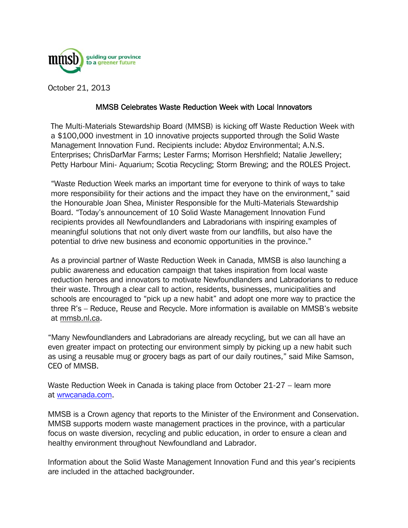

October 21, 2013

## MMSB Celebrates Waste Reduction Week with Local Innovators

The Multi-Materials Stewardship Board (MMSB) is kicking off Waste Reduction Week with a \$100,000 investment in 10 innovative projects supported through the Solid Waste Management Innovation Fund. Recipients include: Abydoz Environmental; A.N.S. Enterprises; ChrisDarMar Farms; Lester Farms; Morrison Hershfield; Natalie Jewellery; Petty Harbour Mini- Aquarium; Scotia Recycling; Storm Brewing; and the ROLES Project.

"Waste Reduction Week marks an important time for everyone to think of ways to take more responsibility for their actions and the impact they have on the environment," said the Honourable Joan Shea, Minister Responsible for the Multi-Materials Stewardship Board. "Today's announcement of 10 Solid Waste Management Innovation Fund recipients provides all Newfoundlanders and Labradorians with inspiring examples of meaningful solutions that not only divert waste from our landfills, but also have the potential to drive new business and economic opportunities in the province."

As a provincial partner of Waste Reduction Week in Canada, MMSB is also launching a public awareness and education campaign that takes inspiration from local waste reduction heroes and innovators to motivate Newfoundlanders and Labradorians to reduce their waste. Through a clear call to action, residents, businesses, municipalities and schools are encouraged to "pick up a new habit" and adopt one more way to practice the three R's – Reduce, Reuse and Recycle. More information is available on MMSB's website at mmsb.nl.ca.

"Many Newfoundlanders and Labradorians are already recycling, but we can all have an even greater impact on protecting our environment simply by picking up a new habit such as using a reusable mug or grocery bags as part of our daily routines," said Mike Samson, CEO of MMSB.

Waste Reduction Week in Canada is taking place from October 21-27 – learn more at wrwcanada.com.

MMSB is a Crown agency that reports to the Minister of the Environment and Conservation. MMSB supports modern waste management practices in the province, with a particular focus on waste diversion, recycling and public education, in order to ensure a clean and healthy environment throughout Newfoundland and Labrador.

Information about the Solid Waste Management Innovation Fund and this year's recipients are included in the attached backgrounder.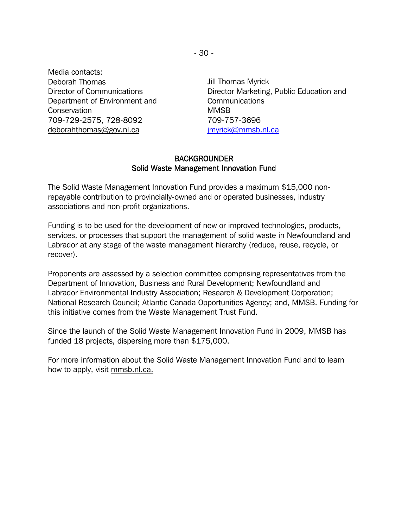Media contacts: Deborah Thomas Director of Communications Department of Environment and **Conservation** 709-729-2575, 728-8092 deborahthomas@gov.nl.ca

Jill Thomas Myrick Director Marketing, Public Education and Communications MMSB 709-757-3696 jmyrick@mmsb.nl.ca

## **BACKGROUNDER** Solid Waste Management Innovation Fund

The Solid Waste Management Innovation Fund provides a maximum \$15,000 nonrepayable contribution to provincially-owned and or operated businesses, industry associations and non-profit organizations.

Funding is to be used for the development of new or improved technologies, products, services, or processes that support the management of solid waste in Newfoundland and Labrador at any stage of the waste management hierarchy (reduce, reuse, recycle, or recover).

Proponents are assessed by a selection committee comprising representatives from the Department of Innovation, Business and Rural Development; Newfoundland and Labrador Environmental Industry Association; Research & Development Corporation; National Research Council; Atlantic Canada Opportunities Agency; and, MMSB. Funding for this initiative comes from the Waste Management Trust Fund.

Since the launch of the Solid Waste Management Innovation Fund in 2009, MMSB has funded 18 projects, dispersing more than \$175,000.

For more information about the Solid Waste Management Innovation Fund and to learn how to apply, visit mmsb.nl.ca.